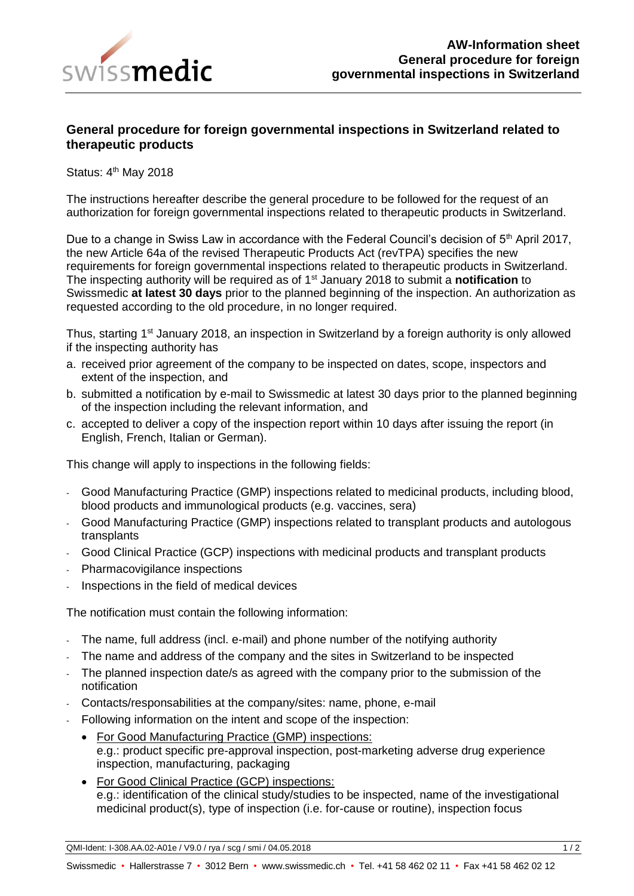

## **General procedure for foreign governmental inspections in Switzerland related to therapeutic products**

Status: 4<sup>th</sup> May 2018

The instructions hereafter describe the general procedure to be followed for the request of an authorization for foreign governmental inspections related to therapeutic products in Switzerland.

Due to a change in Swiss Law in accordance with the Federal Council's decision of 5<sup>th</sup> April 2017, the new Article 64a of the revised Therapeutic Products Act (revTPA) specifies the new requirements for foreign governmental inspections related to therapeutic products in Switzerland. The inspecting authority will be required as of 1st January 2018 to submit a **notification** to Swissmedic **at latest 30 days** prior to the planned beginning of the inspection. An authorization as requested according to the old procedure, in no longer required.

Thus, starting 1<sup>st</sup> January 2018, an inspection in Switzerland by a foreign authority is only allowed if the inspecting authority has

- a. received prior agreement of the company to be inspected on dates, scope, inspectors and extent of the inspection, and
- b. submitted a notification by e-mail to Swissmedic at latest 30 days prior to the planned beginning of the inspection including the relevant information, and
- c. accepted to deliver a copy of the inspection report within 10 days after issuing the report (in English, French, Italian or German).

This change will apply to inspections in the following fields:

- Good Manufacturing Practice (GMP) inspections related to medicinal products, including blood, blood products and immunological products (e.g. vaccines, sera)
- Good Manufacturing Practice (GMP) inspections related to transplant products and autologous transplants
- Good Clinical Practice (GCP) inspections with medicinal products and transplant products
- Pharmacovigilance inspections
- Inspections in the field of medical devices

The notification must contain the following information:

- The name, full address (incl. e-mail) and phone number of the notifying authority
- The name and address of the company and the sites in Switzerland to be inspected
- The planned inspection date/s as agreed with the company prior to the submission of the notification
- Contacts/responsabilities at the company/sites: name, phone, e-mail
- Following information on the intent and scope of the inspection:
	- For Good Manufacturing Practice (GMP) inspections: e.g.: product specific pre-approval inspection, post-marketing adverse drug experience inspection, manufacturing, packaging
	- For Good Clinical Practice (GCP) inspections: e.g.: identification of the clinical study/studies to be inspected, name of the investigational medicinal product(s), type of inspection (i.e. for-cause or routine), inspection focus

QMI-Ident: I-308.AA.02-A01e / V9.0 / rya / scg / smi / 04.05.2018 1 / 2